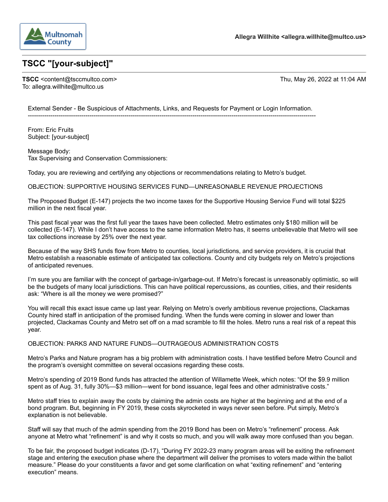

## TSCC "[your-subject]"

TSCC <content@tsccmultco.com> To: allegra.willhite@multco.us

Thu, May 26, 2022 at 11:04 AM

External Sender - Be Suspicious of Attachments, Links, and Requests for Payment or Login Information.

From: Eric Fruits Subject: [your-subject]

Message Body: Tax Supervising and Conservation Commissioners:

Today, you are reviewing and certifying any objections or recommendations relating to Metro's budget.

OBJECTION: SUPPORTIVE HOUSING SERVICES FUND-UNREASONABLE REVENUE PROJECTIONS

The Proposed Budget (E-147) projects the two income taxes for the Supportive Housing Service Fund will total \$225 million in the next fiscal year.

This past fiscal year was the first full year the taxes have been collected. Metro estimates only \$180 million will be collected (E-147). While I don't have access to the same information Metro has, it seems unbelievable that Metro will see tax collections increase by 25% over the next year.

Because of the way SHS funds flow from Metro to counties, local jurisdictions, and service providers, it is crucial that Metro establish a reasonable estimate of anticipated tax collections. County and city budgets rely on Metro's projections of anticipated revenues.

I'm sure you are familiar with the concept of garbage-in/garbage-out. If Metro's forecast is unreasonably optimistic, so will be the budgets of many local jurisdictions. This can have political repercussions, as counties, cities, and their residents ask: "Where is all the money we were promised?"

You will recall this exact issue came up last year. Relying on Metro's overly ambitious revenue projections, Clackamas County hired staff in anticipation of the promised funding. When the funds were coming in slower and lower than projected, Clackamas County and Metro set off on a mad scramble to fill the holes. Metro runs a real risk of a repeat this year.

OBJECTION: PARKS AND NATURE FUNDS-OUTRAGEOUS ADMINISTRATION COSTS

Metro's Parks and Nature program has a big problem with administration costs. I have testified before Metro Council and the program's oversight committee on several occasions regarding these costs.

Metro's spending of 2019 Bond funds has attracted the attention of Willamette Week, which notes: "Of the \$9.9 million spent as of Aug. 31, fully 30%-\$3 million-went for bond issuance, legal fees and other administrative costs."

Metro staff tries to explain away the costs by claiming the admin costs are higher at the beginning and at the end of a bond program. But, beginning in FY 2019, these costs skyrocketed in ways never seen before. Put simply, Metro's explanation is not believable.

Staff will say that much of the admin spending from the 2019 Bond has been on Metro's "refinement" process. Ask anyone at Metro what "refinement" is and why it costs so much, and you will walk away more confused than you began.

To be fair, the proposed budget indicates (D-17), "During FY 2022-23 many program areas will be exiting the refinement stage and entering the execution phase where the department will deliver the promises to voters made within the ballot measure." Please do your constituents a favor and get some clarification on what "exiting refinement" and "entering execution" means.